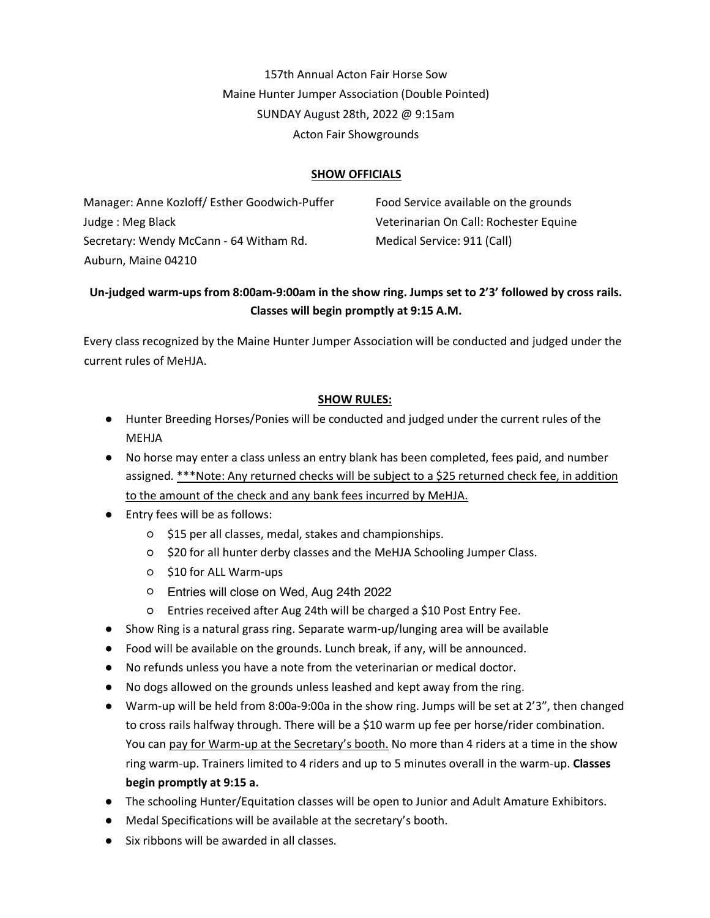157th Annual Acton Fair Horse Sow Maine Hunter Jumper Association (Double Pointed) SUNDAY August 28th, 2022 @ 9:15am Acton Fair Showgrounds

# **SHOW OFFICIALS**

Manager: Anne Kozloff/ Esther Goodwich-Puffer Judge : Meg Black Secretary: Wendy McCann - 64 Witham Rd. Auburn, Maine 04210

Food Service available on the grounds Veterinarian On Call: Rochester Equine Medical Service: 911 (Call)

# **Un-judged warm-ups from 8:00am-9:00am in the show ring. Jumps set to 2'3' followed by cross rails. Classes will begin promptly at 9:15 A.M.**

Every class recognized by the Maine Hunter Jumper Association will be conducted and judged under the current rules of MeHJA.

# **SHOW RULES:**

- Hunter Breeding Horses/Ponies will be conducted and judged under the current rules of the MEHJA
- No horse may enter a class unless an entry blank has been completed, fees paid, and number assigned. \*\*\*Note: Any returned checks will be subject to a \$25 returned check fee, in addition to the amount of the check and any bank fees incurred by MeHJA.
- Entry fees will be as follows:
	- \$15 per all classes, medal, stakes and championships.
	- \$20 for all hunter derby classes and the MeHJA Schooling Jumper Class.
	- \$10 for ALL Warm-ups
	- Entries will close on Wed, Aug 24th, 2021. Entries will close on Wed, Aug 24th 2022
	- Entries received after Aug 24th will be charged a \$10 Post Entry Fee.
- Show Ring is a natural grass ring. Separate warm-up/lunging area will be available
- Food will be available on the grounds. Lunch break, if any, will be announced.
- No refunds unless you have a note from the veterinarian or medical doctor.
- No dogs allowed on the grounds unless leashed and kept away from the ring.
- Warm-up will be held from 8:00a-9:00a in the show ring. Jumps will be set at 2'3", then changed to cross rails halfway through. There will be a \$10 warm up fee per horse/rider combination. You can pay for Warm-up at the Secretary's booth. No more than 4 riders at a time in the show ring warm-up. Trainers limited to 4 riders and up to 5 minutes overall in the warm-up. **Classes begin promptly at 9:15 a.**
- The schooling Hunter/Equitation classes will be open to Junior and Adult Amature Exhibitors.
- Medal Specifications will be available at the secretary's booth.
- Six ribbons will be awarded in all classes.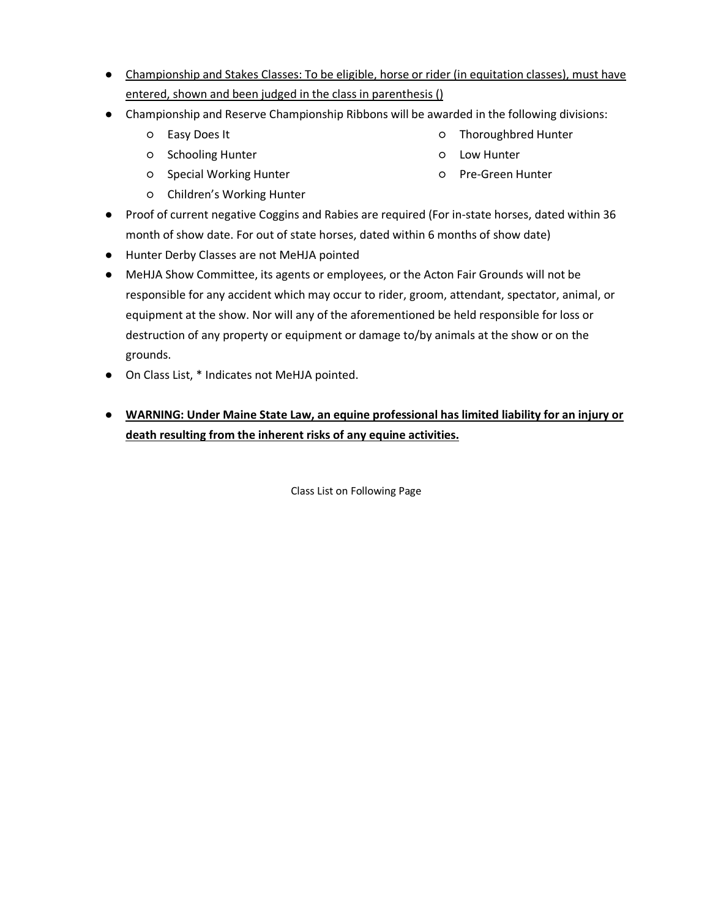- Championship and Stakes Classes: To be eligible, horse or rider (in equitation classes), must have entered, shown and been judged in the class in parenthesis ()
- Championship and Reserve Championship Ribbons will be awarded in the following divisions:
	- Easy Does It
	- Schooling Hunter
	- Special Working Hunter
	- Children's Working Hunter
- Thoroughbred Hunter
- Low Hunter
- Pre-Green Hunter
- Proof of current negative Coggins and Rabies are required (For in-state horses, dated within 36 month of show date. For out of state horses, dated within 6 months of show date)
- Hunter Derby Classes are not MeHJA pointed
- MeHJA Show Committee, its agents or employees, or the Acton Fair Grounds will not be responsible for any accident which may occur to rider, groom, attendant, spectator, animal, or equipment at the show. Nor will any of the aforementioned be held responsible for loss or destruction of any property or equipment or damage to/by animals at the show or on the grounds.
- On Class List, \* Indicates not MeHJA pointed.
- **WARNING: Under Maine State Law, an equine professional has limited liability for an injury or death resulting from the inherent risks of any equine activities.**

Class List on Following Page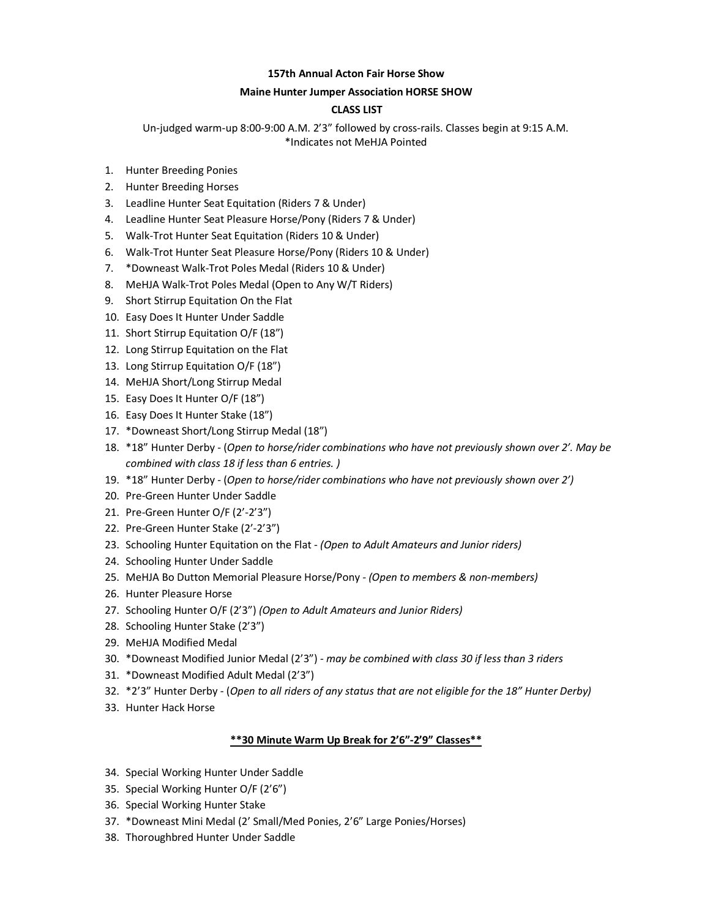## **157th Annual Acton Fair Horse Show**

## **Maine Hunter Jumper Association HORSE SHOW**

## **CLASS LIST**

Un-judged warm-up 8:00-9:00 A.M. 2'3" followed by cross-rails. Classes begin at 9:15 A.M. \*Indicates not MeHJA Pointed

- 1. Hunter Breeding Ponies
- 2. Hunter Breeding Horses
- 3. Leadline Hunter Seat Equitation (Riders 7 & Under)
- 4. Leadline Hunter Seat Pleasure Horse/Pony (Riders 7 & Under)
- 5. Walk-Trot Hunter Seat Equitation (Riders 10 & Under)
- 6. Walk-Trot Hunter Seat Pleasure Horse/Pony (Riders 10 & Under)
- 7. \*Downeast Walk-Trot Poles Medal (Riders 10 & Under)
- 8. MeHJA Walk-Trot Poles Medal (Open to Any W/T Riders)
- 9. Short Stirrup Equitation On the Flat
- 10. Easy Does It Hunter Under Saddle
- 11. Short Stirrup Equitation O/F (18")
- 12. Long Stirrup Equitation on the Flat
- 13. Long Stirrup Equitation O/F (18")
- 14. MeHJA Short/Long Stirrup Medal
- 15. Easy Does It Hunter O/F (18")
- 16. Easy Does It Hunter Stake (18")
- 17. \*Downeast Short/Long Stirrup Medal (18")
- 18. \*18" Hunter Derby (*Open to horse/rider combinations who have not previously shown over 2'. May be combined with class 18 if less than 6 entries. )*
- 19. \*18" Hunter Derby (*Open to horse/rider combinations who have not previously shown over 2')*
- 20. Pre-Green Hunter Under Saddle
- 21. Pre-Green Hunter O/F (2'-2'3")
- 22. Pre-Green Hunter Stake (2'-2'3")
- 23. Schooling Hunter Equitation on the Flat *(Open to Adult Amateurs and Junior riders)*
- 24. Schooling Hunter Under Saddle
- 25. MeHJA Bo Dutton Memorial Pleasure Horse/Pony *- (Open to members & non-members)*
- 26. Hunter Pleasure Horse
- 27. Schooling Hunter O/F (2'3") *(Open to Adult Amateurs and Junior Riders)*
- 28. Schooling Hunter Stake (2'3")
- 29. MeHJA Modified Medal
- 30. \*Downeast Modified Junior Medal (2'3") *may be combined with class 30 if less than 3 riders*
- 31. \*Downeast Modified Adult Medal (2'3")
- 32. \*2'3" Hunter Derby (*Open to all riders of any status that are not eligible for the 18" Hunter Derby)*
- 33. Hunter Hack Horse

## **\*\*30 Minute Warm Up Break for 2'6"-2'9" Classes\*\***

- 34. Special Working Hunter Under Saddle
- 35. Special Working Hunter O/F (2'6")
- 36. Special Working Hunter Stake
- 37. \*Downeast Mini Medal (2' Small/Med Ponies, 2'6" Large Ponies/Horses)
- 38. Thoroughbred Hunter Under Saddle